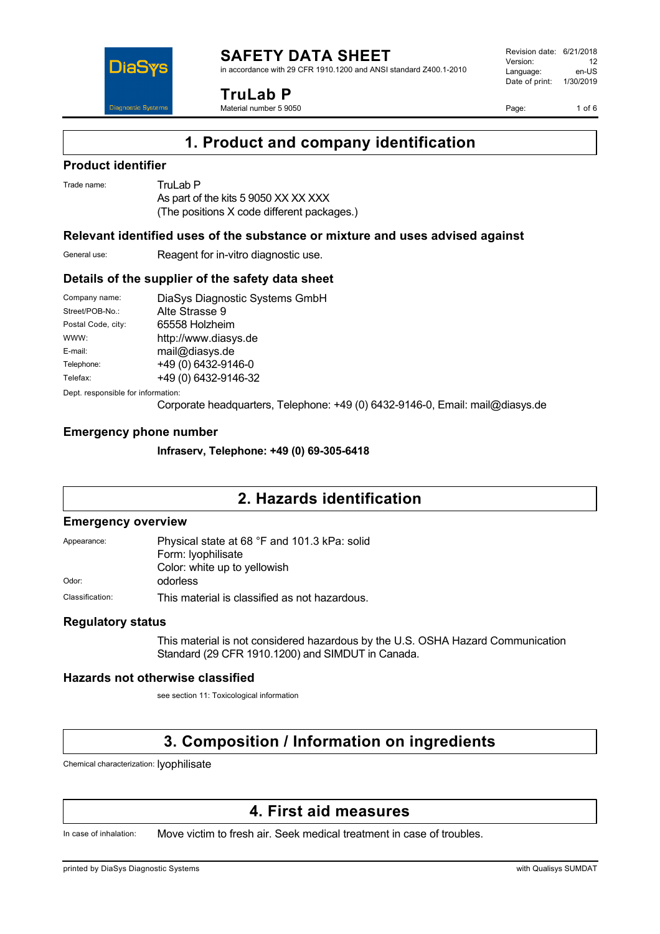DiaS **Diagnostic Systen** 

**TruLab P**

Material number 5 9050

Revision date: 6/21/2018 Version: 12<br>Language: en-LIS Language: Date of print: 1/30/2019

Page: 1 of 6

# **1. Product and company identification**

### **Product identifier**

Trade name: Trul ab P As part of the kits 5 9050 XX XX XXX (The positions X code different packages.)

### **Relevant identified uses of the substance or mixture and uses advised against**

General use: Reagent for in-vitro diagnostic use.

### **Details of the supplier of the safety data sheet**

| Company name:      | DiaSys Diagnostic Systems GmbH |
|--------------------|--------------------------------|
| Street/POB-No.:    | Alte Strasse 9                 |
| Postal Code, city: | 65558 Holzheim                 |
| WWW:               | http://www.diasys.de           |
| E-mail:            | mail@diasys.de                 |
| Telephone:         | +49 (0) 6432-9146-0            |
| Telefax:           | +49 (0) 6432-9146-32           |
|                    |                                |

Dept. responsible for information:

Corporate headquarters, Telephone: +49 (0) 6432-9146-0, Email: mail@diasys.de

## **Emergency phone number**

**Infraserv, Telephone: +49 (0) 69-305-6418**

## **2. Hazards identification**

### **Emergency overview**

| Appearance:     | Physical state at 68 °F and 101.3 kPa: solid<br>Form: lyophilisate |
|-----------------|--------------------------------------------------------------------|
| Odor:           | Color: white up to yellowish<br>odorless                           |
| Classification: | This material is classified as not hazardous.                      |

### **Regulatory status**

This material is not considered hazardous by the U.S. OSHA Hazard Communication Standard (29 CFR 1910.1200) and SIMDUT in Canada.

### **Hazards not otherwise classified**

see section 11: Toxicological information

# **3. Composition / Information on ingredients**

Chemical characterization: lyophilisate

## **4. First aid measures**

In case of inhalation: Move victim to fresh air. Seek medical treatment in case of troubles.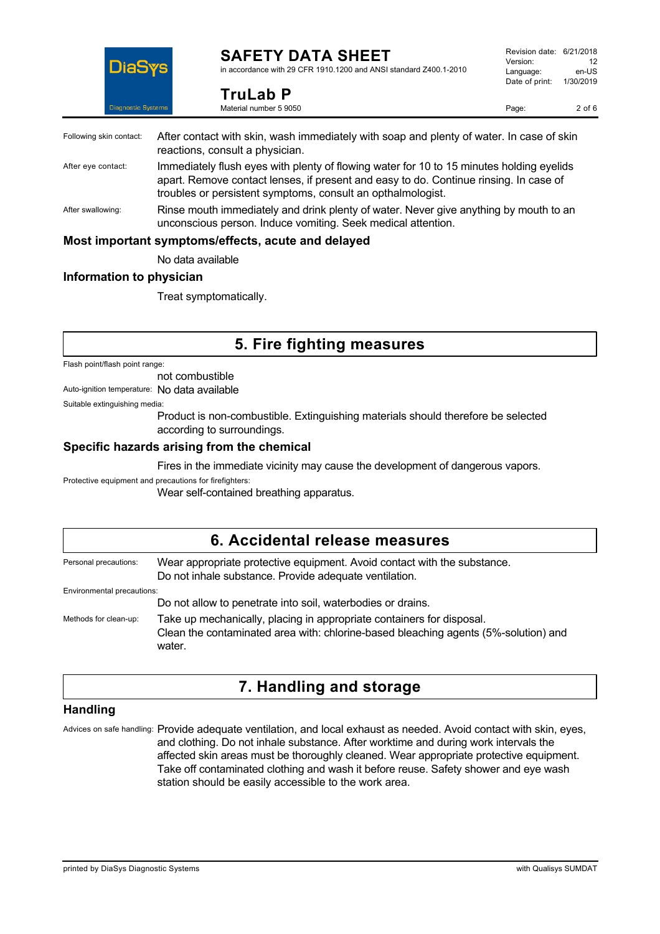

Following skin contact: After

## **SAFETY DATA SHEET**

in accordance with 29 CFR 1910.1200 and ANSI standard Z400.1-2010

| ems. | Material number 5 9050                                                                                                      | Page: | $2$ of $6$ |
|------|-----------------------------------------------------------------------------------------------------------------------------|-------|------------|
|      | After contact with skin, wash immediately with soap and plenty of water. In case of skin<br>reactions, consult a physician. |       |            |
|      | Immediately flush eyes with plenty of flowing water for 10 to 15 minutes holding eyelids                                    |       |            |

- After eye contact: Immediately resulted and the  $\mathsf{Imm}$ apart. Remove contact lenses, if present and easy to do. Continue rinsing. In case of troubles or persistent symptoms, consult an opthalmologist.
- After swallowing: Rinse mouth immediately and drink plenty of water. Never give anything by mouth to an unconscious person. Induce vomiting. Seek medical attention.

### **Most important symptoms/effects, acute and delayed**

**TruLab P**

No data available

### **Information to physician**

Treat symptomatically.

## **5. Fire fighting measures**

Flash point/flash point range:

not combustible

Auto-ignition temperature: No data available

Suitable extinguishing media:

Product is non-combustible. Extinguishing materials should therefore be selected according to surroundings.

### **Specific hazards arising from the chemical**

Fires in the immediate vicinity may cause the development of dangerous vapors.

Protective equipment and precautions for firefighters:

Wear self-contained breathing apparatus.

## **6. Accidental release measures** Personal precautions: Wear appropriate protective equipment. Avoid contact with the substance. Do not inhale substance. Provide adequate ventilation. Environmental precautions: Do not allow to penetrate into soil, waterbodies or drains. Methods for clean-up: Take up mechanically, placing in appropriate containers for disposal. Clean the contaminated area with: chlorine-based bleaching agents (5%-solution) and water.

# **7. Handling and storage**

### **Handling**

Advices on safe handling: Provide adequate ventilation, and local exhaust as needed. Avoid contact with skin, eyes, and clothing. Do not inhale substance. After worktime and during work intervals the affected skin areas must be thoroughly cleaned. Wear appropriate protective equipment. Take off contaminated clothing and wash it before reuse. Safety shower and eye wash station should be easily accessible to the work area.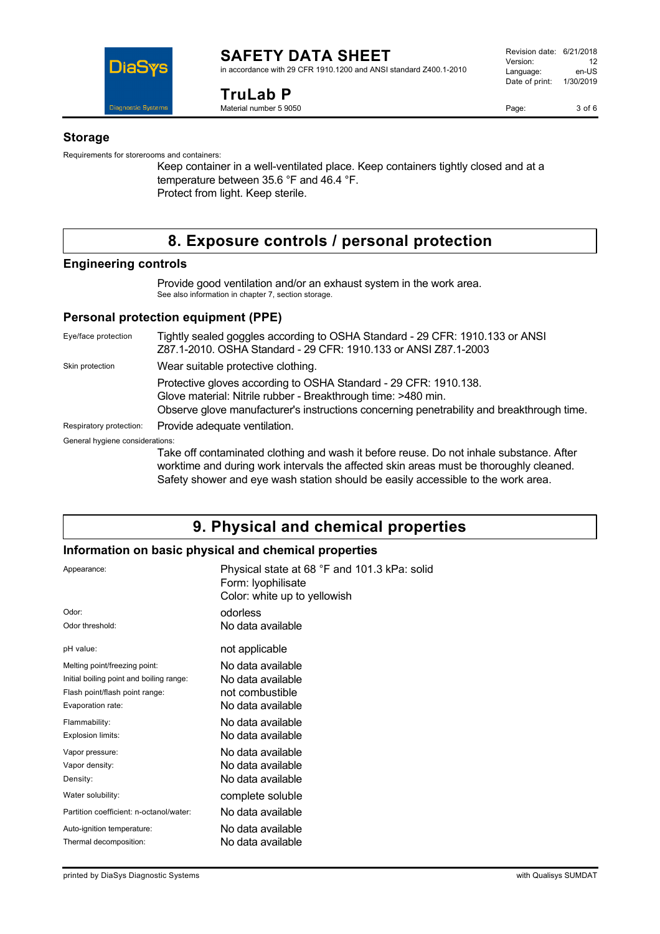

#### **SAFETY DATA SHEET** in accordance with 29 CFR 1910.1200 and ANSI standard Z400.1-2010

**TruLab P** Material number 5 9050

Page: 3 of 6

### **Storage**

Requirements for storerooms and containers:

Keep container in a well-ventilated place. Keep containers tightly closed and at a temperature between 35.6 °F and 46.4 °F. Protect from light. Keep sterile.

# **8. Exposure controls / personal protection**

### **Engineering controls**

Provide good ventilation and/or an exhaust system in the work area. See also information in chapter 7, section storage.

## **Personal protection equipment (PPE)**

Eye/face protection Tightly sealed goggles according to OSHA Standard - 29 CFR: 1910.133 or ANSI Z87.1-2010. OSHA Standard - 29 CFR: 1910.133 or ANSI Z87.1-2003 Skin protection **Wear suitable protective clothing.** Protective gloves according to OSHA Standard - 29 CFR: 1910.138. Glove material: Nitrile rubber - Breakthrough time: >480 min. Observe glove manufacturer's instructions concerning penetrability and breakthrough time. Respiratory protection: Provide adequate ventilation. General hygiene considerations: Take off contaminated clothing and wash it before reuse. Do not inhale substance. After worktime and during work intervals the affected skin areas must be thoroughly cleaned.

Safety shower and eye wash station should be easily accessible to the work area.

# **9. Physical and chemical properties**

### **Information on basic physical and chemical properties**

| Appearance:                              | Physical state at 68 °F and 101.3 kPa: solid<br>Form: Iyophilisate<br>Color: white up to yellowish |
|------------------------------------------|----------------------------------------------------------------------------------------------------|
| Odor:                                    | odorless                                                                                           |
| Odor threshold:                          | No data available                                                                                  |
| pH value:                                | not applicable                                                                                     |
| Melting point/freezing point:            | No data available                                                                                  |
| Initial boiling point and boiling range: | No data available                                                                                  |
| Flash point/flash point range:           | not combustible                                                                                    |
| Evaporation rate:                        | No data available                                                                                  |
| Flammability:                            | No data available                                                                                  |
| Explosion limits:                        | No data available                                                                                  |
| Vapor pressure:                          | No data available                                                                                  |
| Vapor density:                           | No data available                                                                                  |
| Density:                                 | No data available                                                                                  |
| Water solubility:                        | complete soluble                                                                                   |
| Partition coefficient: n-octanol/water:  | No data available                                                                                  |
| Auto-ignition temperature:               | No data available                                                                                  |
| Thermal decomposition:                   | No data available                                                                                  |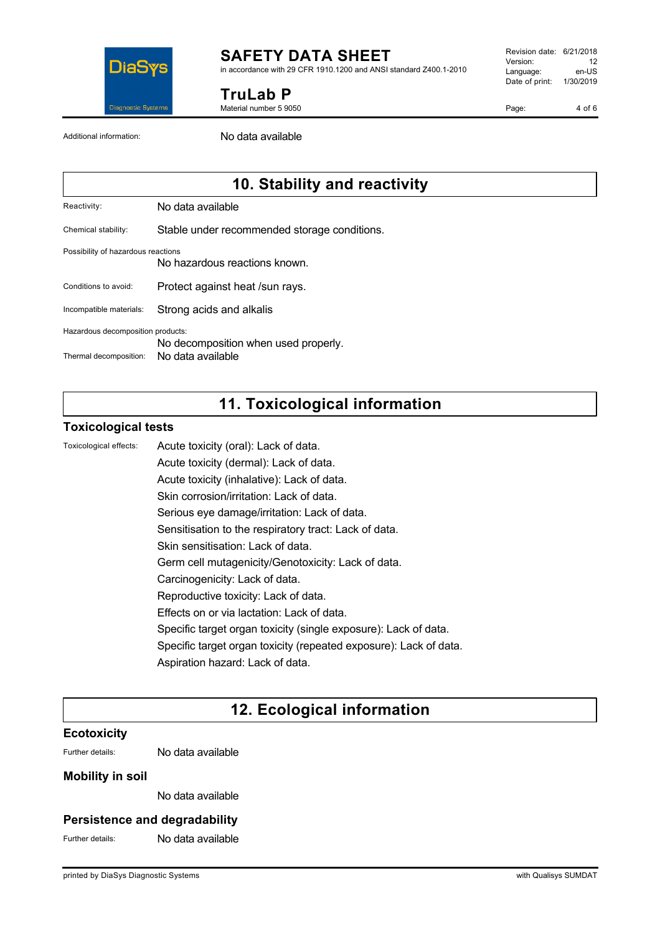

# **SAFETY DATA SHEET**

in accordance with 29 CFR 1910.1200 and ANSI standard Z400.1-2010

**TruLab P**

Material number 5 9050

Revision date: 6/21/2018 Version: 12<br>Language: en-LIS Language: Date of print: 1/30/2019

Page: 4 of 6

Additional information: No data available

# **10. Stability and reactivity**

Reactivity: No data available

Chemical stability: Stable under recommended storage conditions.

#### Possibility of hazardous reactions

No hazardous reactions known.

Conditions to avoid: Protect against heat /sun rays.

Incompatible materials: Strong acids and alkalis

Hazardous decomposition products:

No decomposition when used properly.

Thermal decomposition: No data available

# **11. Toxicological information**

### **Toxicological tests**

Toxicological effects: Acute toxicity (oral): Lack of data.

Acute toxicity (dermal): Lack of data. Acute toxicity (inhalative): Lack of data.

Skin corrosion/irritation: Lack of data.

Serious eye damage/irritation: Lack of data.

Sensitisation to the respiratory tract: Lack of data.

Skin sensitisation: Lack of data.

Germ cell mutagenicity/Genotoxicity: Lack of data.

- Carcinogenicity: Lack of data.
- Reproductive toxicity: Lack of data.

Effects on or via lactation: Lack of data.

Specific target organ toxicity (single exposure): Lack of data.

Specific target organ toxicity (repeated exposure): Lack of data.

Aspiration hazard: Lack of data.

# **12. Ecological information**

### **Ecotoxicity**

Further details: No data available

### **Mobility in soil**

No data available

## **Persistence and degradability**

Further details: No data available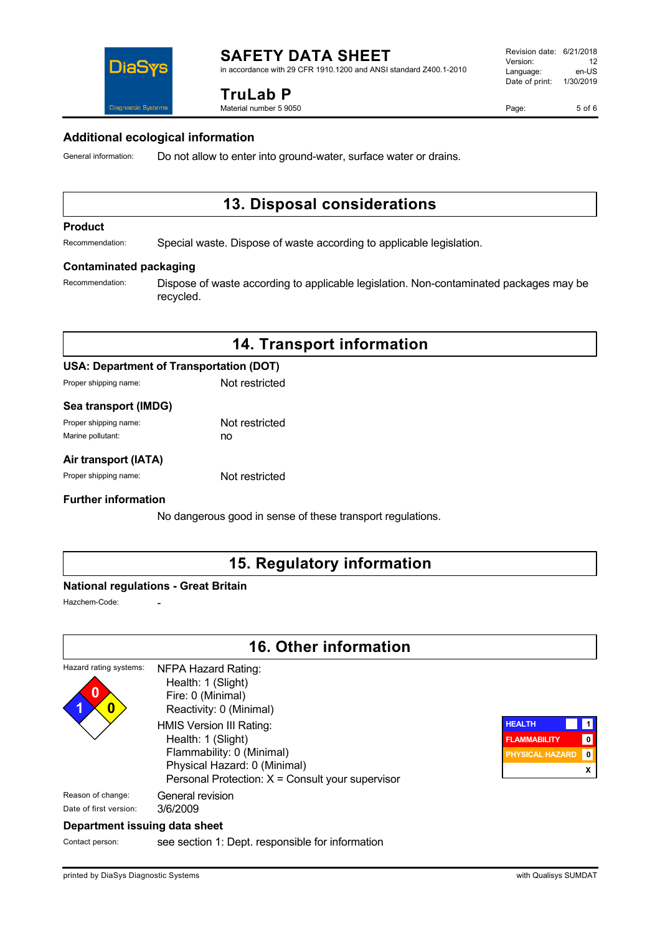

in accordance with 29 CFR 1910.1200 and ANSI standard Z400.1-2010

### **TruLab P**

Material number 5 9050

Page: 5 of 6

### **Additional ecological information**

General information: Do not allow to enter into ground-water, surface water or drains.

# **13. Disposal considerations**

#### **Product**

Recommendation: Special waste. Dispose of waste according to applicable legislation.

#### **Contaminated packaging**

DiaS

**Diannostic System:** 

Recommendation: Dispose of waste according to applicable legislation. Non-contaminated packages may be recycled.

## **14. Transport information**

### **USA: Department of Transportation (DOT)**

Proper shipping name: Not restricted

### **Sea transport (IMDG)**

| Proper shipping name: | Not restricted |
|-----------------------|----------------|
| Marine pollutant:     | no             |

### **Air transport (IATA)**

Proper shipping name: Not restricted

### **Further information**

No dangerous good in sense of these transport regulations.

## **15. Regulatory information**

### **National regulations - Great Britain**

Hazchem-Code:

## **16. Other information**

#### Hazard rating systems: **0 1 0** NFPA Hazard Rating: Health: 1 (Slight) Fire: 0 (Minimal) Reactivity: 0 (Minimal) HMIS Version III Rating: Health: 1 (Slight) Flammability: 0 (Minimal) Physical Hazard: 0 (Minimal) Personal Protection: X = Consult your supervisor Reason of change: General revision



### **Department issuing data sheet**

Date of first version: 3/6/2009

Contact person: see section 1: Dept. responsible for information